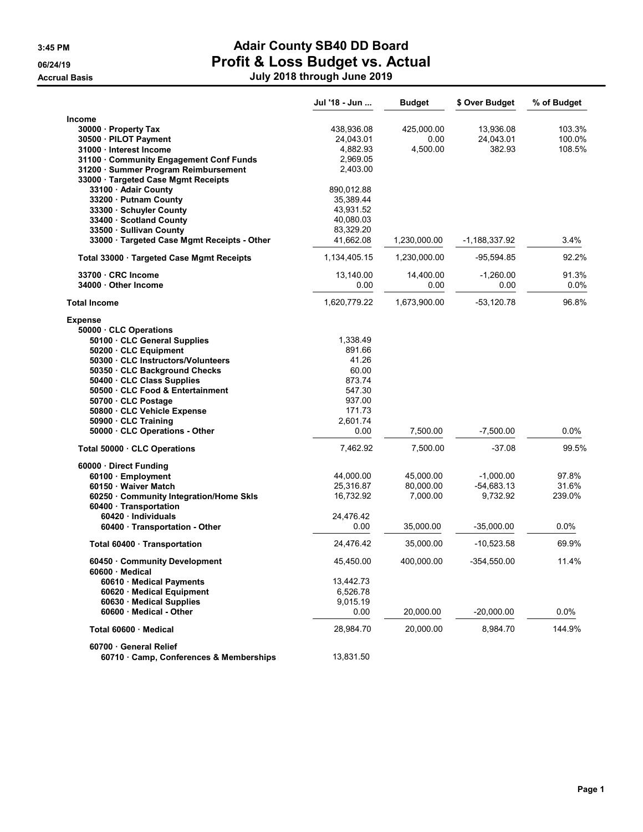|                                                               | Jul '18 - Jun          | <b>Budget</b> | \$ Over Budget  | % of Budget |
|---------------------------------------------------------------|------------------------|---------------|-----------------|-------------|
| Income                                                        |                        |               |                 |             |
| 30000 · Property Tax                                          | 438,936.08             | 425,000.00    | 13,936.08       | 103.3%      |
| 30500 · PILOT Payment                                         | 24,043.01              | 0.00          | 24,043.01       | 100.0%      |
| 31000 · Interest Income                                       | 4.882.93               | 4,500.00      | 382.93          | 108.5%      |
| 31100 Community Engagement Conf Funds                         | 2,969.05               |               |                 |             |
| 31200 · Summer Program Reimbursement                          | 2,403.00               |               |                 |             |
| 33000 · Targeted Case Mgmt Receipts                           |                        |               |                 |             |
| 33100 · Adair County                                          | 890,012.88             |               |                 |             |
| 33200 Putnam County                                           | 35,389.44<br>43,931.52 |               |                 |             |
| 33300 · Schuyler County<br>33400 · Scotland County            | 40,080.03              |               |                 |             |
| 33500 · Sullivan County                                       | 83,329.20              |               |                 |             |
| 33000 · Targeted Case Mgmt Receipts - Other                   | 41,662.08              | 1,230,000.00  | $-1,188,337.92$ | 3.4%        |
| Total 33000 · Targeted Case Mgmt Receipts                     | 1,134,405.15           | 1,230,000.00  | $-95,594.85$    | 92.2%       |
| 33700 · CRC Income                                            | 13,140.00              | 14,400.00     | -1,260.00       | 91.3%       |
| 34000 Other Income                                            | 0.00                   | 0.00          | 0.00            | 0.0%        |
| <b>Total Income</b>                                           | 1,620,779.22           | 1,673,900.00  | $-53,120.78$    | 96.8%       |
| <b>Expense</b>                                                |                        |               |                 |             |
| 50000 CLC Operations                                          |                        |               |                 |             |
| 50100 · CLC General Supplies                                  | 1,338.49               |               |                 |             |
| 50200 CLC Equipment                                           | 891.66                 |               |                 |             |
| 50300 CLC Instructors/Volunteers                              | 41.26                  |               |                 |             |
| 50350 CLC Background Checks                                   | 60.00<br>873.74        |               |                 |             |
| 50400 · CLC Class Supplies<br>50500 CLC Food & Entertainment  | 547.30                 |               |                 |             |
| 50700 CLC Postage                                             | 937.00                 |               |                 |             |
| 50800 CLC Vehicle Expense                                     | 171.73                 |               |                 |             |
| 50900 CLC Training                                            | 2,601.74               |               |                 |             |
| 50000 CLC Operations - Other                                  | 0.00                   | 7,500.00      | $-7,500.00$     | $0.0\%$     |
|                                                               |                        |               |                 |             |
| Total 50000 · CLC Operations                                  | 7,462.92               | 7,500.00      | $-37.08$        | 99.5%       |
| 60000 · Direct Funding                                        |                        |               |                 |             |
| 60100 · Employment                                            | 44,000.00              | 45,000.00     | $-1,000.00$     | 97.8%       |
| 60150 Waiver Match                                            | 25,316.87              | 80,000.00     | $-54,683.13$    | 31.6%       |
| 60250 Community Integration/Home Skls<br>60400 Transportation | 16,732.92              | 7,000.00      | 9,732.92        | 239.0%      |
| 60420 · Individuals                                           | 24,476.42              |               |                 |             |
| 60400 · Transportation - Other                                | 0.00                   | 35,000.00     | $-35,000.00$    | 0.0%        |
| Total 60400 · Transportation                                  | 24,476.42              | 35,000.00     | $-10,523.58$    | 69.9%       |
| 60450 Community Development<br>60600 · Medical                | 45,450.00              | 400.000.00    | $-354,550.00$   | 11.4%       |
| 60610 · Medical Payments                                      | 13,442.73              |               |                 |             |
| 60620 · Medical Equipment                                     | 6,526.78               |               |                 |             |
| 60630 Medical Supplies                                        | 9,015.19               |               |                 |             |
| 60600 · Medical - Other                                       | 0.00                   | 20,000.00     | $-20,000.00$    | 0.0%        |
| Total 60600 Medical                                           | 28,984.70              | 20,000.00     | 8,984.70        | 144.9%      |
| 60700 General Relief                                          |                        |               |                 |             |
| 60710 Camp, Conferences & Memberships                         | 13,831.50              |               |                 |             |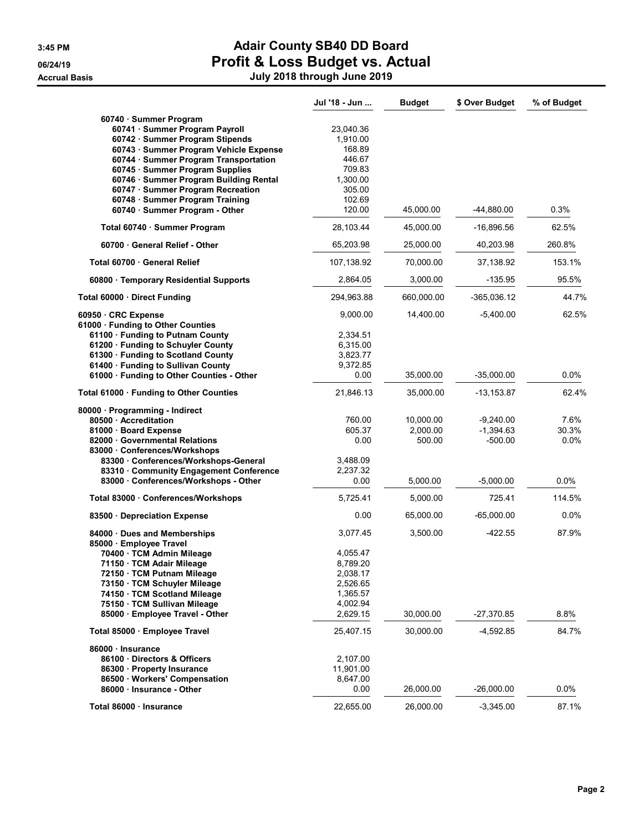**Accrual Basis** 

# 3:45 PM **Adair County SB40 DD Board** 06/24/19 **Profit & Loss Budget vs. Actual**

|  |  | July 2018 through June 2019 |  |
|--|--|-----------------------------|--|
|--|--|-----------------------------|--|

|                                                                     | Jul '18 - Jun | <b>Budget</b> | \$ Over Budget | % of Budget |
|---------------------------------------------------------------------|---------------|---------------|----------------|-------------|
| 60740 · Summer Program                                              |               |               |                |             |
| 60741 · Summer Program Payroll                                      | 23,040.36     |               |                |             |
| 60742 · Summer Program Stipends                                     | 1,910.00      |               |                |             |
| 60743 · Summer Program Vehicle Expense                              | 168.89        |               |                |             |
| 60744 · Summer Program Transportation                               | 446.67        |               |                |             |
| 60745 · Summer Program Supplies                                     | 709.83        |               |                |             |
| 60746 · Summer Program Building Rental                              | 1,300.00      |               |                |             |
| 60747 · Summer Program Recreation                                   | 305.00        |               |                |             |
| 60748 · Summer Program Training                                     | 102.69        |               |                |             |
| 60740 · Summer Program - Other                                      | 120.00        | 45,000.00     | -44,880.00     | 0.3%        |
| Total 60740 · Summer Program                                        | 28,103.44     | 45,000.00     | $-16,896.56$   | 62.5%       |
| 60700 · General Relief - Other                                      | 65,203.98     | 25,000.00     | 40,203.98      | 260.8%      |
| Total 60700 · General Relief                                        | 107,138.92    | 70,000.00     | 37,138.92      | 153.1%      |
| 60800 · Temporary Residential Supports                              | 2,864.05      | 3,000.00      | $-135.95$      | 95.5%       |
| Total 60000 · Direct Funding                                        | 294,963.88    | 660,000.00    | $-365,036.12$  | 44.7%       |
| 60950 CRC Expense                                                   | 9,000.00      | 14,400.00     | $-5,400.00$    | 62.5%       |
| 61000 Funding to Other Counties<br>61100 · Funding to Putnam County | 2,334.51      |               |                |             |
| 61200 · Funding to Schuyler County                                  | 6,315.00      |               |                |             |
| 61300 · Funding to Scotland County                                  | 3,823.77      |               |                |             |
| 61400 · Funding to Sullivan County                                  | 9,372.85      |               |                |             |
| 61000 · Funding to Other Counties - Other                           | 0.00          | 35,000.00     | $-35,000.00$   | $0.0\%$     |
| Total 61000 · Funding to Other Counties                             | 21,846.13     | 35,000.00     | -13,153.87     | 62.4%       |
| 80000 · Programming - Indirect                                      |               |               |                |             |
| 80500 · Accreditation                                               | 760.00        | 10,000.00     | $-9,240.00$    | 7.6%        |
| 81000 · Board Expense                                               | 605.37        | 2,000.00      | $-1,394.63$    | 30.3%       |
| 82000 Governmental Relations                                        | 0.00          | 500.00        | $-500.00$      | 0.0%        |
| 83000 Conferences/Workshops                                         |               |               |                |             |
| 83300 Conferences/Workshops-General                                 | 3,488.09      |               |                |             |
| 83310 Community Engagement Conference                               | 2,237.32      |               |                |             |
| 83000 · Conferences/Workshops - Other                               | 0.00          | 5,000.00      | $-5,000.00$    | 0.0%        |
| Total 83000 · Conferences/Workshops                                 | 5,725.41      | 5,000.00      | 725.41         | 114.5%      |
| 83500 · Depreciation Expense                                        | 0.00          | 65,000.00     | $-65,000.00$   | 0.0%        |
| 84000 Dues and Memberships<br>85000 · Employee Travel               | 3,077.45      | 3,500.00      | $-422.55$      | 87.9%       |
| 70400 · TCM Admin Mileage                                           | 4,055.47      |               |                |             |
| 71150 · TCM Adair Mileage                                           | 8,789.20      |               |                |             |
| 72150 · TCM Putnam Mileage                                          | 2,038.17      |               |                |             |
| 73150 · TCM Schuyler Mileage                                        | 2,526.65      |               |                |             |
| 74150 · TCM Scotland Mileage                                        | 1,365.57      |               |                |             |
| 75150 · TCM Sullivan Mileage                                        | 4,002.94      |               |                |             |
| 85000 · Employee Travel - Other                                     | 2,629.15      | 30,000.00     | $-27,370.85$   | 8.8%        |
| Total 85000 · Employee Travel                                       | 25,407.15     | 30,000.00     | $-4,592.85$    | 84.7%       |
| 86000 · Insurance                                                   |               |               |                |             |
| 86100 Directors & Officers                                          | 2,107.00      |               |                |             |
| 86300 · Property Insurance                                          | 11,901.00     |               |                |             |
| 86500 · Workers' Compensation                                       | 8,647.00      |               |                |             |
| 86000 · Insurance - Other                                           | 0.00          | 26,000.00     | $-26,000.00$   | $0.0\%$     |
| Total 86000 · Insurance                                             | 22,655.00     | 26,000.00     | $-3,345.00$    | 87.1%       |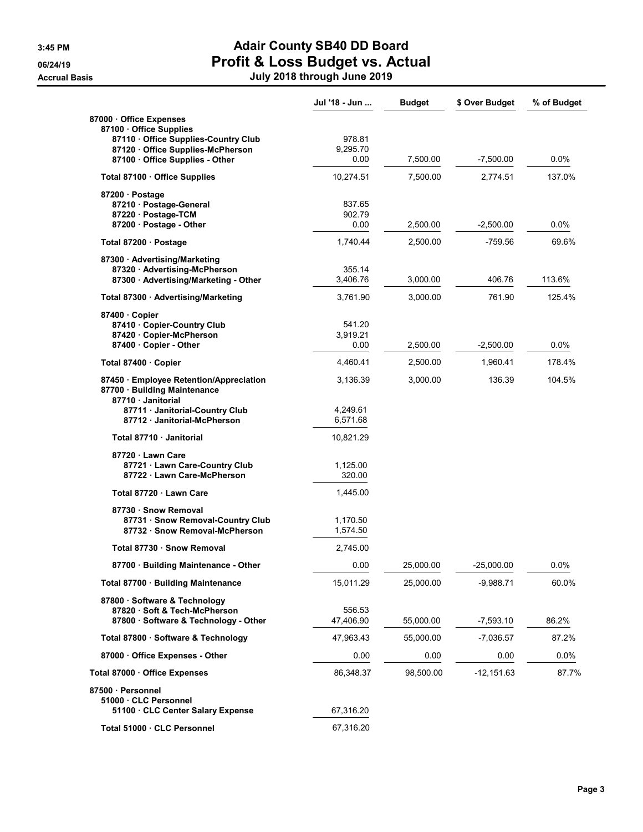|                                                                                                                         | Jul '18 - Jun              | <b>Budget</b> | \$ Over Budget | % of Budget |
|-------------------------------------------------------------------------------------------------------------------------|----------------------------|---------------|----------------|-------------|
| 87000 Office Expenses<br>87100 Office Supplies<br>87110 Office Supplies-Country Club<br>87120 Office Supplies-McPherson | 978.81<br>9,295.70         |               |                |             |
| 87100 · Office Supplies - Other                                                                                         | 0.00                       | 7,500.00      | $-7,500.00$    | $0.0\%$     |
| Total 87100 Office Supplies                                                                                             | 10,274.51                  | 7,500.00      | 2,774.51       | 137.0%      |
| 87200 · Postage<br>87210 · Postage-General<br>87220 · Postage-TCM<br>87200 · Postage - Other                            | 837.65<br>902.79<br>0.00   | 2,500.00      | $-2,500.00$    | $0.0\%$     |
| Total 87200 · Postage                                                                                                   | 1,740.44                   | 2,500.00      | -759.56        | 69.6%       |
| 87300 Advertising/Marketing<br>87320 · Advertising-McPherson<br>87300 · Advertising/Marketing - Other                   | 355.14<br>3,406.76         | 3,000.00      | 406.76         | 113.6%      |
| Total 87300 · Advertising/Marketing                                                                                     | 3,761.90                   | 3,000.00      | 761.90         | 125.4%      |
| 87400 Copier<br>87410 · Copier-Country Club<br>87420 Copier-McPherson<br>87400 · Copier - Other                         | 541.20<br>3,919.21<br>0.00 | 2,500.00      | -2,500.00      | $0.0\%$     |
| Total 87400 · Copier                                                                                                    | 4,460.41                   | 2,500.00      | 1,960.41       | 178.4%      |
| 87450 · Employee Retention/Appreciation<br>87700 · Building Maintenance                                                 | 3,136.39                   | 3,000.00      | 136.39         | 104.5%      |
| 87710 · Janitorial<br>87711 · Janitorial-Country Club<br>87712 Janitorial-McPherson                                     | 4,249.61<br>6,571.68       |               |                |             |
| Total 87710 Janitorial                                                                                                  | 10,821.29                  |               |                |             |
| 87720 Lawn Care<br>87721 · Lawn Care-Country Club<br>87722 · Lawn Care-McPherson                                        | 1,125.00<br>320.00         |               |                |             |
| Total 87720 Lawn Care                                                                                                   | 1,445.00                   |               |                |             |
| 87730 · Snow Removal<br>87731 · Snow Removal-Country Club<br>87732 · Snow Removal-McPherson                             | 1,170.50<br>1,574.50       |               |                |             |
| Total 87730 · Snow Removal                                                                                              | 2,745.00                   |               |                |             |
| 87700 · Building Maintenance - Other                                                                                    | 0.00                       | 25,000.00     | -25,000.00     | 0.0%        |
| Total 87700 · Building Maintenance                                                                                      | 15.011.29                  | 25,000.00     | $-9,988.71$    | 60.0%       |
| 87800 · Software & Technology<br>87820 · Soft & Tech-McPherson<br>87800 · Software & Technology - Other                 | 556.53<br>47,406.90        | 55,000.00     | -7,593.10      | 86.2%       |
| Total 87800 · Software & Technology                                                                                     | 47,963.43                  | 55,000.00     | $-7,036.57$    | 87.2%       |
| 87000 Office Expenses - Other                                                                                           | 0.00                       | 0.00          | 0.00           | $0.0\%$     |
| Total 87000 · Office Expenses                                                                                           | 86,348.37                  | 98,500.00     | $-12,151.63$   | 87.7%       |
| 87500 · Personnel<br>51000 · CLC Personnel<br>51100 CLC Center Salary Expense                                           | 67,316.20                  |               |                |             |
| Total 51000 · CLC Personnel                                                                                             | 67,316.20                  |               |                |             |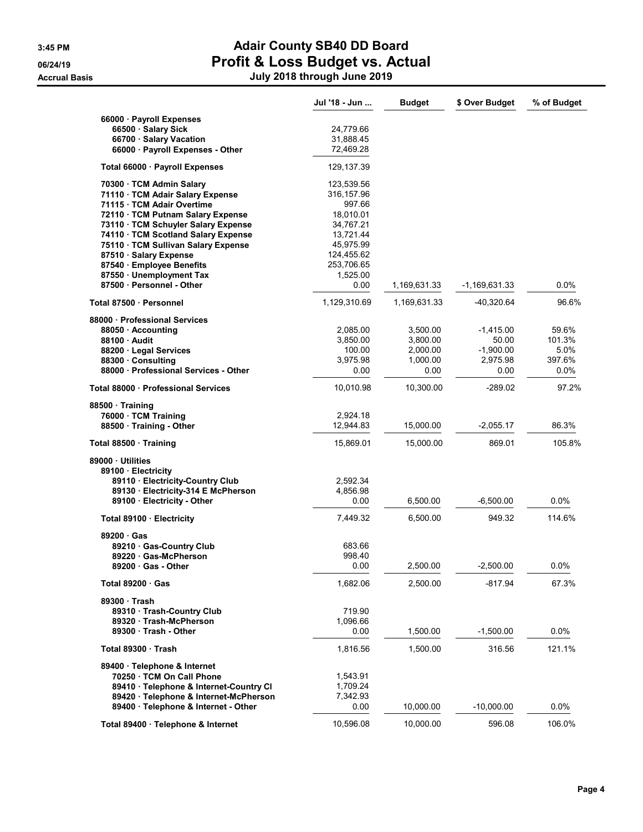|                                                                                | Jul '18 - Jun        | <b>Budget</b>        | \$ Over Budget       | % of Budget     |
|--------------------------------------------------------------------------------|----------------------|----------------------|----------------------|-----------------|
| 66000 · Payroll Expenses                                                       |                      |                      |                      |                 |
| 66500 · Salary Sick                                                            | 24,779.66            |                      |                      |                 |
| 66700 · Salary Vacation                                                        | 31,888.45            |                      |                      |                 |
| 66000 · Payroll Expenses - Other                                               | 72,469.28            |                      |                      |                 |
| Total 66000 · Payroll Expenses                                                 | 129,137.39           |                      |                      |                 |
| 70300 · TCM Admin Salary                                                       | 123,539.56           |                      |                      |                 |
| 71110 · TCM Adair Salary Expense                                               | 316,157.96           |                      |                      |                 |
| 71115 · TCM Adair Overtime                                                     | 997.66               |                      |                      |                 |
| 72110 · TCM Putnam Salary Expense                                              | 18,010.01            |                      |                      |                 |
| 73110 · TCM Schuyler Salary Expense                                            | 34,767.21            |                      |                      |                 |
| 74110 · TCM Scotland Salary Expense                                            | 13,721.44            |                      |                      |                 |
| 75110 · TCM Sullivan Salary Expense                                            | 45,975.99            |                      |                      |                 |
| 87510 · Salary Expense                                                         | 124,455.62           |                      |                      |                 |
| 87540 · Employee Benefits                                                      | 253,706.65           |                      |                      |                 |
| 87550 · Unemployment Tax                                                       | 1,525.00             |                      |                      |                 |
| 87500 · Personnel - Other                                                      | 0.00                 | 1,169,631.33         | -1,169,631.33        | $0.0\%$         |
| Total 87500 · Personnel                                                        | 1,129,310.69         | 1,169,631.33         | -40,320.64           | 96.6%           |
| 88000 Professional Services                                                    |                      |                      |                      |                 |
| 88050 · Accounting<br>88100 · Audit                                            | 2,085.00<br>3,850.00 | 3,500.00<br>3,800.00 | $-1,415.00$<br>50.00 | 59.6%<br>101.3% |
| 88200 · Legal Services                                                         | 100.00               | 2,000.00             | $-1,900.00$          | 5.0%            |
| 88300 · Consulting                                                             | 3,975.98             | 1,000.00             | 2,975.98             | 397.6%          |
| 88000 · Professional Services - Other                                          | 0.00                 | 0.00                 | 0.00                 | $0.0\%$         |
| Total 88000 · Professional Services                                            | 10,010.98            | 10,300.00            | $-289.02$            | 97.2%           |
| 88500 Training                                                                 |                      |                      |                      |                 |
| 76000 · TCM Training                                                           | 2,924.18             |                      |                      |                 |
| 88500 Training - Other                                                         | 12,944.83            | 15,000.00            | $-2,055.17$          | 86.3%           |
| Total 88500 · Training                                                         | 15,869.01            | 15,000.00            | 869.01               | 105.8%          |
| 89000 Utilities                                                                |                      |                      |                      |                 |
| 89100 · Electricity                                                            |                      |                      |                      |                 |
| 89110 · Electricity-Country Club                                               | 2,592.34             |                      |                      |                 |
| 89130 · Electricity-314 E McPherson<br>89100 · Electricity - Other             | 4,856.98<br>0.00     | 6,500.00             | $-6,500.00$          | 0.0%            |
|                                                                                |                      |                      |                      |                 |
| Total 89100 · Electricity                                                      | 7,449.32             | 6,500.00             | 949.32               | 114.6%          |
| 89200 Gas                                                                      |                      |                      |                      |                 |
| 89210 Gas-Country Club                                                         | 683.66               |                      |                      |                 |
| 89220 Gas-McPherson<br>89200 · Gas - Other                                     | 998.40<br>0.00       | 2,500.00             | $-2,500.00$          | 0.0%            |
| Total $89200 \cdot$ Gas                                                        | 1,682.06             | 2,500.00             | $-817.94$            | 67.3%           |
|                                                                                |                      |                      |                      |                 |
| 89300 Trash<br>89310 · Trash-Country Club                                      | 719.90               |                      |                      |                 |
| 89320 Trash-McPherson                                                          | 1,096.66             |                      |                      |                 |
| 89300 Trash - Other                                                            | 0.00                 | 1,500.00             | $-1,500.00$          | 0.0%            |
| Total 89300 Trash                                                              | 1,816.56             | 1,500.00             | 316.56               | 121.1%          |
|                                                                                |                      |                      |                      |                 |
| 89400 · Telephone & Internet                                                   |                      |                      |                      |                 |
| 70250 · TCM On Call Phone                                                      | 1,543.91             |                      |                      |                 |
| 89410 · Telephone & Internet-Country Cl                                        | 1,709.24<br>7,342.93 |                      |                      |                 |
| 89420 · Telephone & Internet-McPherson<br>89400 · Telephone & Internet - Other | 0.00                 | 10,000.00            | $-10,000.00$         | 0.0%            |
|                                                                                |                      |                      |                      |                 |
| Total 89400 · Telephone & Internet                                             | 10,596.08            | 10,000.00            | 596.08               | 106.0%          |